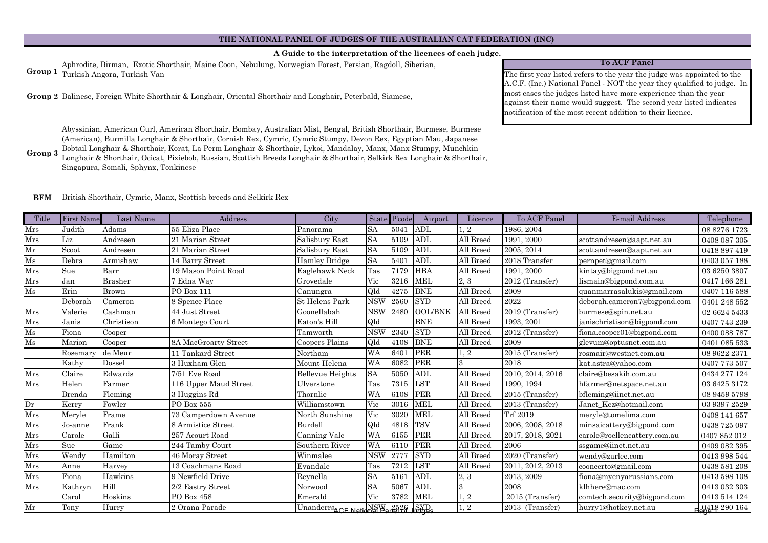## **A Guide to the interpretation of the licences of each judge.**

Aphrodite, Birman, Exotic Shorthair, Maine Coon, Nebulung, Norwegian Forest, Persian, Ragdoll, Siberian, Turkish Angora, Turkish Van **Group 1**

Balinese, Foreign White Shorthair & Longhair, Oriental Shorthair and Longhair, Peterbald, Siamese, **Group 2**

Abyssinian, American Curl, American Shorthair, Bombay, Australian Mist, Bengal, British Shorthair, Burmese, Burmese (American), Burmilla Longhair & Shorthair, Cornish Rex, Cymric, Cymric Stumpy, Devon Rex, Egyptian Mau, Japanese Bobtail Longhair & Shorthair, Korat, La Perm Longhair & Shorthair, Lykoi, Mandalay, Manx, Manx Stumpy, Munchkin

**Group 3** Longhair & Shorthair, Ocicat, Pixiebob, Russian, Scottish Breeds Longhair & Shorthair, Selkirk Rex Longhair & Shorthair, Singapura, Somali, Sphynx, Tonkinese

## **To ACF Panel**

The first year listed refers to the year the judge was appointed to the A.C.F. (Inc.) National Panel - NOT the year they qualified to judge. In most cases the judges listed have more experience than the year against their name would suggest. The second year listed indicates notification of the most recent addition to their licence.

## **BFM** British Shorthair, Cymric, Manx, Scottish breeds and Selkirk Rex

| Title         | <b>First Name</b> | Last Name      | Address               | City                               |            | State P'code | Airport        | Licence      | To ACF Panel     | E-mail Address               | Telephone                   |
|---------------|-------------------|----------------|-----------------------|------------------------------------|------------|--------------|----------------|--------------|------------------|------------------------------|-----------------------------|
| Mrs           | Judith            | Adams          | 55 Eliza Place        | Panorama                           | <b>SA</b>  | 5041         | ADL            | $\cdot$ 2    | 1986, 2004       |                              | 08 8276 1723                |
| $\rm Mrs$     | Liz               | Andresen       | 21 Marian Street      | Salisbury East                     | <b>SA</b>  | 5109         | ADL            | All Breed    | 1991, 2000       | scottandresen@aapt.net.au    | 0408 087 305                |
| $\rm{Mr}$     | Scoot             | Andresen       | 21 Marian Street      | Salisbury East                     | <b>SA</b>  | 5109         | ADL            | All Breed    | 2005, 2014       | scottandresen@aapt.net.au    | 0418 897 419                |
| Ms            | Debra             | Armishaw       | 14 Barry Street       | Hamley Bridge                      | <b>SA</b>  | 5401         | ADL            | All Breed    | 2018 Transfer    | pernpet@gmail.com            | 0403 057 188                |
| Mrs           | Sue               | Barr           | 19 Mason Point Road   | Eaglehawk Neck                     | Tas        | 7179         | <b>HBA</b>     | All Breed    | 1991, 2000       | kintay@bigpond.net.au        | 03 6250 3807                |
| Mrs           | Jan               | <b>Brasher</b> | 7 Edna Way            | Grovedale                          | Vic        | 3216         | <b>MEL</b>     | 2.3          | 2012 (Transfer)  | lismain@bigpond.com.au       | 0417 166 281                |
| $\rm Ms$      | Erin              | <b>Brown</b>   | PO Box 111            | Canungra                           | Qld        | 4275         | <b>BNE</b>     | All Breed    | 2009             | quanmarrasalukis@gmail.com   | 0407 116 588                |
|               | Deborah           | Cameron        | 8 Spence Place        | St Helens Park                     | <b>NSW</b> | 2560         | <b>SYD</b>     | All Breed    | 2022             | deborah.cameron7@bigpond.com | 0401 248 552                |
| Mrs           | Valerie           | Cashman        | 44 Just Street        | Goonellabah                        | <b>NSW</b> | 2480         | <b>OOL/BNK</b> | All Breed    | 2019 (Transfer)  | burmese@spin.net.au          | 02 6624 5433                |
| Mrs           | Janis             | Christison     | 6 Montego Court       | Eaton's Hill                       | Qld        |              | <b>BNE</b>     | All Breed    | 1993, 2001       | janischristison@bigpond.com  | 0407 743 239                |
| $\mathrm{Ms}$ | Fiona             | Cooper         |                       | Tamworth                           | <b>NSW</b> | 2340         | <b>SYD</b>     | All Breed    | 2012 (Transfer)  | fiona.cooper01@bigpond.com   | 0400 088 787                |
| $\rm Ms$      | Marion            | Cooper         | 8A MacGroarty Street  | Coopers Plains                     | Qld        | 4108         | <b>BNE</b>     | All Breed    | 2009             | glevum@optusnet.com.au       | 0401 085 533                |
|               | Rosemary          | de Meur        | 11 Tankard Street     | Northam                            | <b>WA</b>  | 6401         | PER            | 1, 2         | 2015 (Transfer)  | rosmair@westnet.com.au       | 08 9622 2371                |
|               | Kathy             | Dossel         | 3 Huxham Glen         | Mount Helena                       | WA         | 6082         | PER            | $\mathbf{R}$ | 2018             | kat.astra@yahoo.com          | 0407 773 507                |
| Mrs           | Claire            | Edwards        | 7/51 Eve Road         | <b>Bellevue Heights</b>            | <b>SA</b>  | 5050         | ADL            | All Breed    | 2010, 2014, 2016 | claire@besakih.com.au        | 0434 277 124                |
| Mrs           | Helen             | Farmer         | 116 Upper Maud Street | Ulverstone                         | Tas        | 7315         | <b>LST</b>     | All Breed    | 1990, 1994       | hfarmer@netspace.net.au      | 03 6425 3172                |
|               | Brenda            | Fleming        | 3 Huggins Rd          | Thornlie                           | <b>WA</b>  | 6108         | PER            | All Breed    | 2015 (Transfer)  | bfleming@iinet.net.au        | 08 9459 5798                |
| Dr            | Kerry             | Fowler         | PO Box 555            | Williamstown                       | Vic        | 3016         | <b>MEL</b>     | All Breed    | 2013 (Transfer)  | Janet Kez@hotmail.com        | 03 9397 2529                |
| Mrs           | Meryle            | Frame          | 73 Camperdown Avenue  | North Sunshine                     | Vic        | 3020         | MEL            | All Breed    | Trf 2019         | meryle@tomelima.com          | 0408 141 657                |
| Mrs           | Jo-anne           | Frank          | 8 Armistice Street    | Burdell                            | Qld        | 4818         | TSV            | All Breed    | 2006, 2008, 2018 | minsaicattery@bigpond.com    | 0438 725 097                |
| Mrs           | Carole            | Galli          | 257 Acourt Road       | Canning Vale                       | <b>WA</b>  | 6155         | PER            | All Breed    | 2017, 2018, 2021 | carole@roellencattery.com.au | 0407 852 012                |
| Mrs           | Sue               | Game           | 244 Tamby Court       | Southern River                     | <b>WA</b>  | 6110         | PER            | All Breed    | 2006             | ssgame@iinet.net.au          | 0409 082 395                |
| Mrs           | Wendy             | Hamilton       | 46 Moray Street       | Winmalee                           | <b>NSW</b> | 2777         | <b>SYD</b>     | All Breed    | 2020 (Transfer)  | wendy@zarlee.com             | 0413 998 544                |
| Mrs           | Anne              | Harvey         | 13 Coachmans Road     | Evandale                           | Tas        | 7212         | $_{\rm LST}$   | All Breed    | 2011, 2012, 2013 | cooncerto@gmail.com          | 0438 581 208                |
| Mrs           | Fiona             | Hawkins        | 9 Newfield Drive      | Reynella                           | <b>SA</b>  | 5161         | <b>ADL</b>     | 2, 3         | 2013, 2009       | fiona@myenyarussians.com     | 0413 598 108                |
| $\rm Mrs$     | Kathryn           | Hill           | 2/2 Eastry Street     | Norwood                            | <b>SA</b>  | 5067         | ADL            | 3            | 2008             | klhhere@mac.com              | 0413 032 303                |
|               | Carol             | Hoskins        | PO Box 458            | Emerald                            | Vic        | 3782         | MEL            | 1, 2         | 2015 (Transfer)  | comtech.security@bigpond.com | 0413 514 124                |
| Mr            | Tony              | Hurry          | 2 Orana Parade        | Unanderra CF National Panel of SYD |            |              |                | 1, 2         | 2013 (Transfer)  | hurry1@hotkey.net.au         | p <sub>2</sub> 0418 290 164 |